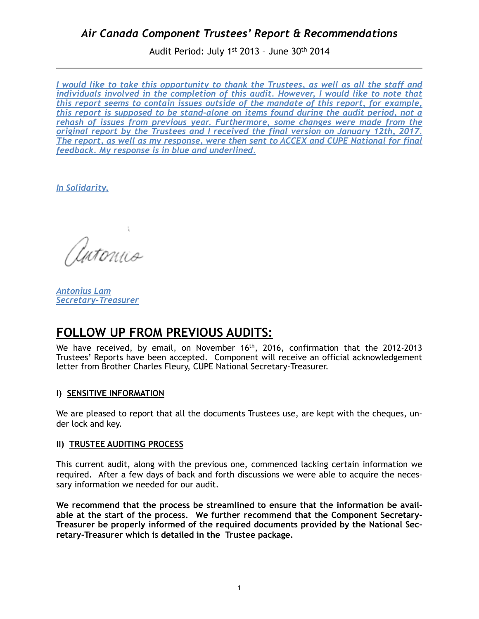Audit Period: July 1st 2013 – June 30th 2014

*I would like to take this opportunity to thank the Trustees, as well as all the staff and individuals involved in the completion of this audit. However, I would like to note that this report seems to contain issues outside of the mandate of this report, for example, this report is supposed to be stand-alone on items found during the audit period, not a rehash of issues from previous year. Furthermore, some changes were made from the original report by the Trustees and I received the final version on January 12th, 2017. The report, as well as my response, were then sent to ACCEX and CUPE National for final feedback. My response is in blue and underlined.*

*In Solidarity,* 

Antonna

*Antonius Lam Secretary-Treasurer*

# **FOLLOW UP FROM PREVIOUS AUDITS:**

We have received, by email, on November 16<sup>th</sup>, 2016, confirmation that the 2012-2013 Trustees' Reports have been accepted. Component will receive an official acknowledgement letter from Brother Charles Fleury, CUPE National Secretary-Treasurer.

### **I) SENSITIVE INFORMATION**

We are pleased to report that all the documents Trustees use, are kept with the cheques, under lock and key.

#### **II) TRUSTEE AUDITING PROCESS**

This current audit, along with the previous one, commenced lacking certain information we required. After a few days of back and forth discussions we were able to acquire the necessary information we needed for our audit.

**We recommend that the process be streamlined to ensure that the information be available at the start of the process. We further recommend that the Component Secretary-Treasurer be properly informed of the required documents provided by the National Secretary-Treasurer which is detailed in the Trustee package.**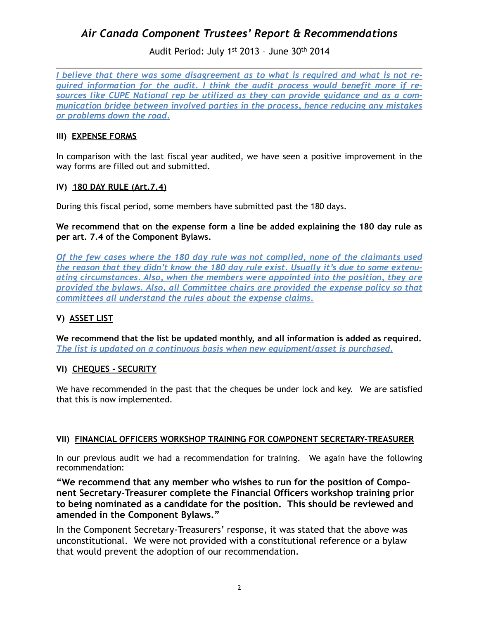## Audit Period: July 1st 2013 – June 30th 2014

*I believe that there was some disagreement as to what is required and what is not required information for the audit. I think the audit process would benefit more if resources like CUPE National rep be utilized as they can provide guidance and as a communication bridge between involved parties in the process, hence reducing any mistakes or problems down the road.*

### **III) EXPENSE FORMS**

In comparison with the last fiscal year audited, we have seen a positive improvement in the way forms are filled out and submitted.

### **IV) 180 DAY RULE (Art.7.4)**

During this fiscal period, some members have submitted past the 180 days.

**We recommend that on the expense form a line be added explaining the 180 day rule as per art. 7.4 of the Component Bylaws.**

*Of the few cases where the 180 day rule was not complied, none of the claimants used the reason that they didn't know the 180 day rule exist. Usually it's due to some extenuating circumstances. Also, when the members were appointed into the position, they are provided the bylaws. Also, all Committee chairs are provided the expense policy so that committees all understand the rules about the expense claims.*

### **V) ASSET LIST**

**We recommend that the list be updated monthly, and all information is added as required.** *The list is updated on a continuous basis when new equipment/asset is purchased.*

### **VI) CHEQUES - SECURITY**

We have recommended in the past that the cheques be under lock and key. We are satisfied that this is now implemented.

### **VII) FINANCIAL OFFICERS WORKSHOP TRAINING FOR COMPONENT SECRETARY-TREASURER**

In our previous audit we had a recommendation for training. We again have the following recommendation:

**"We recommend that any member who wishes to run for the position of Component Secretary-Treasurer complete the Financial Officers workshop training prior to being nominated as a candidate for the position. This should be reviewed and amended in the Component Bylaws."** 

In the Component Secretary-Treasurers' response, it was stated that the above was unconstitutional. We were not provided with a constitutional reference or a bylaw that would prevent the adoption of our recommendation.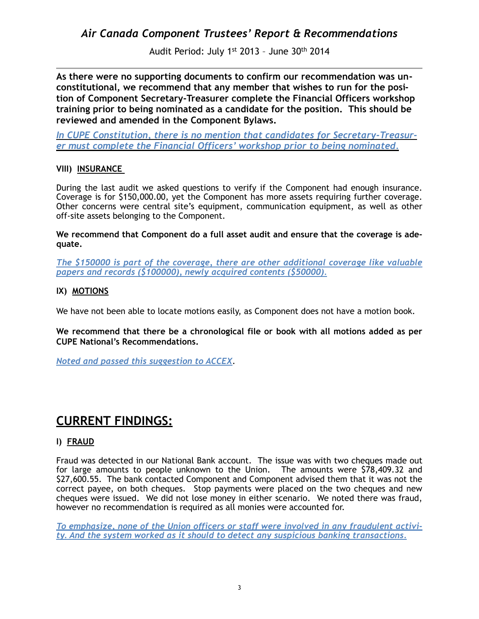Audit Period: July 1st 2013 – June 30th 2014

**As there were no supporting documents to confirm our recommendation was unconstitutional, we recommend that any member that wishes to run for the position of Component Secretary-Treasurer complete the Financial Officers workshop training prior to being nominated as a candidate for the position. This should be reviewed and amended in the Component Bylaws.** 

*In CUPE Constitution, there is no mention that candidates for Secretary-Treasurer must complete the Financial Officers' workshop prior to being nominated.*

### **VIII) INSURANCE**

During the last audit we asked questions to verify if the Component had enough insurance. Coverage is for \$150,000.00, yet the Component has more assets requiring further coverage. Other concerns were central site's equipment, communication equipment, as well as other off-site assets belonging to the Component.

**We recommend that Component do a full asset audit and ensure that the coverage is adequate.**

*The \$150000 is part of the coverage, there are other additional coverage like valuable papers and records (\$100000), newly acquired contents (\$50000).*

### **IX) MOTIONS**

We have not been able to locate motions easily, as Component does not have a motion book.

**We recommend that there be a chronological file or book with all motions added as per CUPE National's Recommendations.**

*Noted and passed this suggestion to ACCEX*.

# **CURRENT FINDINGS:**

### **I) FRAUD**

Fraud was detected in our National Bank account. The issue was with two cheques made out for large amounts to people unknown to the Union. The amounts were \$78,409.32 and \$27,600.55. The bank contacted Component and Component advised them that it was not the correct payee, on both cheques. Stop payments were placed on the two cheques and new cheques were issued. We did not lose money in either scenario. We noted there was fraud, however no recommendation is required as all monies were accounted for.

*To emphasize, none of the Union officers or staff were involved in any fraudulent activity. And the system worked as it should to detect any suspicious banking transactions.*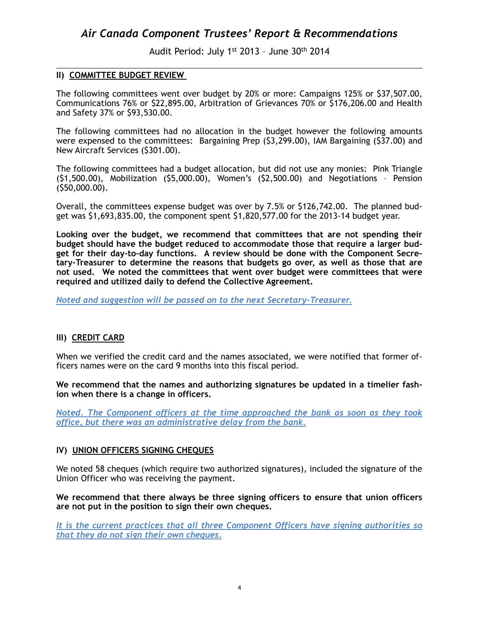Audit Period: July 1st 2013 – June 30th 2014

#### **II) COMMITTEE BUDGET REVIEW**

The following committees went over budget by 20% or more: Campaigns 125% or \$37,507.00, Communications 76% or \$22,895.00, Arbitration of Grievances 70% or \$176,206.00 and Health and Safety 37% or \$93,530.00.

The following committees had no allocation in the budget however the following amounts were expensed to the committees: Bargaining Prep (\$3,299.00), IAM Bargaining (\$37.00) and New Aircraft Services (\$301.00).

The following committees had a budget allocation, but did not use any monies: Pink Triangle (\$1,500.00), Mobilization (\$5,000.00), Women's (\$2,500.00) and Negotiations – Pension (\$50,000.00).

Overall, the committees expense budget was over by 7.5% or \$126,742.00. The planned budget was \$1,693,835.00, the component spent \$1,820,577.00 for the 2013-14 budget year.

**Looking over the budget, we recommend that committees that are not spending their budget should have the budget reduced to accommodate those that require a larger budget for their day-to-day functions. A review should be done with the Component Secretary-Treasurer to determine the reasons that budgets go over, as well as those that are not used. We noted the committees that went over budget were committees that were required and utilized daily to defend the Collective Agreement.**

*Noted and suggestion will be passed on to the next Secretary-Treasurer.*

### **III) CREDIT CARD**

When we verified the credit card and the names associated, we were notified that former officers names were on the card 9 months into this fiscal period.

**We recommend that the names and authorizing signatures be updated in a timelier fashion when there is a change in officers.** 

*Noted. The Component officers at the time approached the bank as soon as they took office, but there was an administrative delay from the bank.*

#### **IV) UNION OFFICERS SIGNING CHEQUES**

We noted 58 cheques (which require two authorized signatures), included the signature of the Union Officer who was receiving the payment.

**We recommend that there always be three signing officers to ensure that union officers are not put in the position to sign their own cheques.**

*It is the current practices that all three Component Officers have signing authorities so that they do not sign their own cheques.*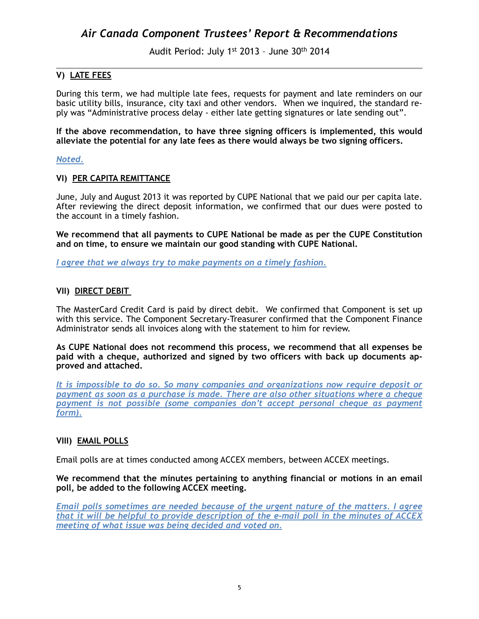Audit Period: July 1st 2013 – June 30th 2014

### **V) LATE FEES**

During this term, we had multiple late fees, requests for payment and late reminders on our basic utility bills, insurance, city taxi and other vendors. When we inquired, the standard reply was "Administrative process delay - either late getting signatures or late sending out".

**If the above recommendation, to have three signing officers is implemented, this would alleviate the potential for any late fees as there would always be two signing officers.**

#### *Noted.*

#### **VI) PER CAPITA REMITTANCE**

June, July and August 2013 it was reported by CUPE National that we paid our per capita late. After reviewing the direct deposit information, we confirmed that our dues were posted to the account in a timely fashion.

**We recommend that all payments to CUPE National be made as per the CUPE Constitution and on time, to ensure we maintain our good standing with CUPE National.**

*I agree that we always try to make payments on a timely fashion.*

#### **VII) DIRECT DEBIT**

The MasterCard Credit Card is paid by direct debit. We confirmed that Component is set up with this service. The Component Secretary-Treasurer confirmed that the Component Finance Administrator sends all invoices along with the statement to him for review.

**As CUPE National does not recommend this process, we recommend that all expenses be paid with a cheque, authorized and signed by two officers with back up documents approved and attached.**

*It is impossible to do so. So many companies and organizations now require deposit or payment as soon as a purchase is made. There are also other situations where a cheque payment is not possible (some companies don't accept personal cheque as payment form).*

### **VIII) EMAIL POLLS**

Email polls are at times conducted among ACCEX members, between ACCEX meetings.

#### **We recommend that the minutes pertaining to anything financial or motions in an email poll, be added to the following ACCEX meeting.**

*Email polls sometimes are needed because of the urgent nature of the matters. I agree that it will be helpful to provide description of the e-mail poll in the minutes of ACCEX meeting of what issue was being decided and voted on.*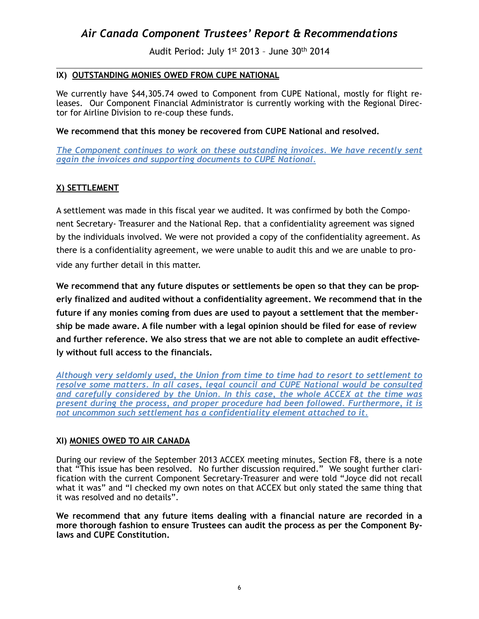Audit Period: July 1st 2013 – June 30th 2014

### **IX) OUTSTANDING MONIES OWED FROM CUPE NATIONAL**

We currently have \$44,305.74 owed to Component from CUPE National, mostly for flight releases. Our Component Financial Administrator is currently working with the Regional Director for Airline Division to re-coup these funds.

#### **We recommend that this money be recovered from CUPE National and resolved.**

*The Component continues to work on these outstanding invoices. We have recently sent again the invoices and supporting documents to CUPE National.*

### **X) SETTLEMENT**

A settlement was made in this fiscal year we audited. It was confirmed by both the Component Secretary- Treasurer and the National Rep. that a confidentiality agreement was signed by the individuals involved. We were not provided a copy of the confidentiality agreement. As there is a confidentiality agreement, we were unable to audit this and we are unable to provide any further detail in this matter.

**We recommend that any future disputes or settlements be open so that they can be properly finalized and audited without a confidentiality agreement. We recommend that in the future if any monies coming from dues are used to payout a settlement that the membership be made aware. A file number with a legal opinion should be filed for ease of review and further reference. We also stress that we are not able to complete an audit effectively without full access to the financials.**

*Although very seldomly used, the Union from time to time had to resort to settlement to resolve some matters. In all cases, legal council and CUPE National would be consulted and carefully considered by the Union. In this case, the whole ACCEX at the time was present during the process, and proper procedure had been followed. Furthermore, it is not uncommon such settlement has a confidentiality element attached to it.*

### **XI) MONIES OWED TO AIR CANADA**

During our review of the September 2013 ACCEX meeting minutes, Section F8, there is a note that "This issue has been resolved. No further discussion required." We sought further clarification with the current Component Secretary-Treasurer and were told "Joyce did not recall what it was" and "I checked my own notes on that ACCEX but only stated the same thing that it was resolved and no details".

**We recommend that any future items dealing with a financial nature are recorded in a more thorough fashion to ensure Trustees can audit the process as per the Component Bylaws and CUPE Constitution.**